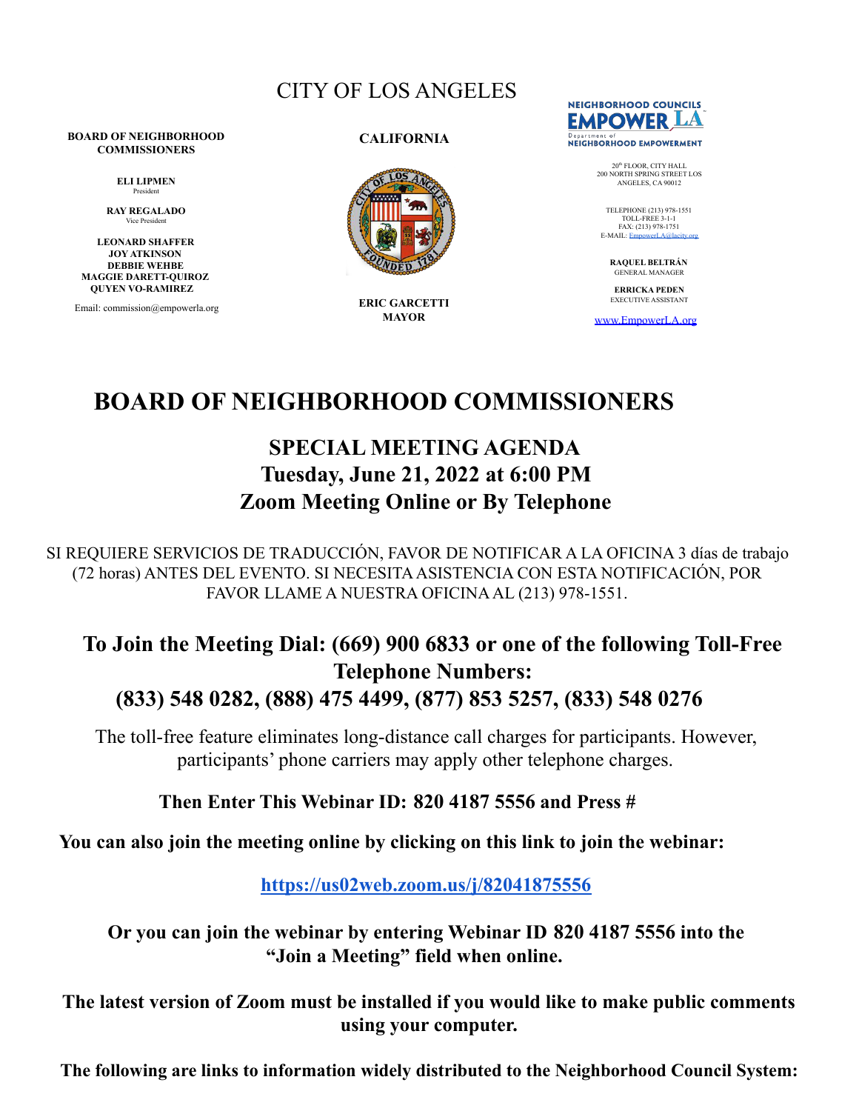# CITY OF LOS ANGELES

#### **BOARD OF NEIGHBORHOOD COMMISSIONERS**

**ELI LIPMEN** President

**RAY REGALADO** Vice President

**LEONARD SHAFFER JOY ATKINSON DEBBIE WEHBE MAGGIE DARETT-QUIROZ QUYEN VO-RAMIREZ**

Email: commission@empowerla.org

**CALIFORNIA**



**ERIC GARCETTI MAYOR**



20<sup>th</sup> FLOOR, CITY HALL<br>200 NORTH SPRING STREET LOS<br>ANGELES, CA 90012

TELEPHONE (213) 978-1551 TOLL-FREE 3-1-1 FAX: (213) 978-1751 E-MAIL: EmpowerLA@lacity

> **RAQUEL BELTRÁN** GENERAL MANAGER

**ERRICKA PEDEN** EXECUTIVE ASSISTANT

[www.EmpowerLA.org](http://www.empowerla.org)

# **BOARD OF NEIGHBORHOOD COMMISSIONERS**

# **SPECIAL MEETING AGENDA Tuesday, June 21, 2022 at 6:00 PM Zoom Meeting Online or By Telephone**

SI REQUIERE SERVICIOS DE TRADUCCIÓN, FAVOR DE NOTIFICAR A LA OFICINA 3 días de trabajo (72 horas) ANTES DEL EVENTO. SI NECESITAASISTENCIA CON ESTA NOTIFICACIÓN, POR FAVOR LLAME A NUESTRA OFICINAAL (213) 978-1551.

# **To Join the Meeting Dial: (669) 900 6833 or one of the following Toll-Free Telephone Numbers: (833) 548 0282, (888) 475 4499, (877) 853 5257, (833) 548 0276**

The toll-free feature eliminates long-distance call charges for participants. However, participants' phone carriers may apply other telephone charges.

# **Then Enter This Webinar ID: 820 4187 5556 and Press #**

**You can also join the meeting online by clicking on this link to join the webinar:**

**<https://us02web.zoom.us/j/82041875556>**

**Or you can join the webinar by entering Webinar ID 820 4187 5556 into the "Join a Meeting" field when online.**

**The latest version of Zoom must be installed if you would like to make public comments using your computer.**

**The following are links to information widely distributed to the Neighborhood Council System:**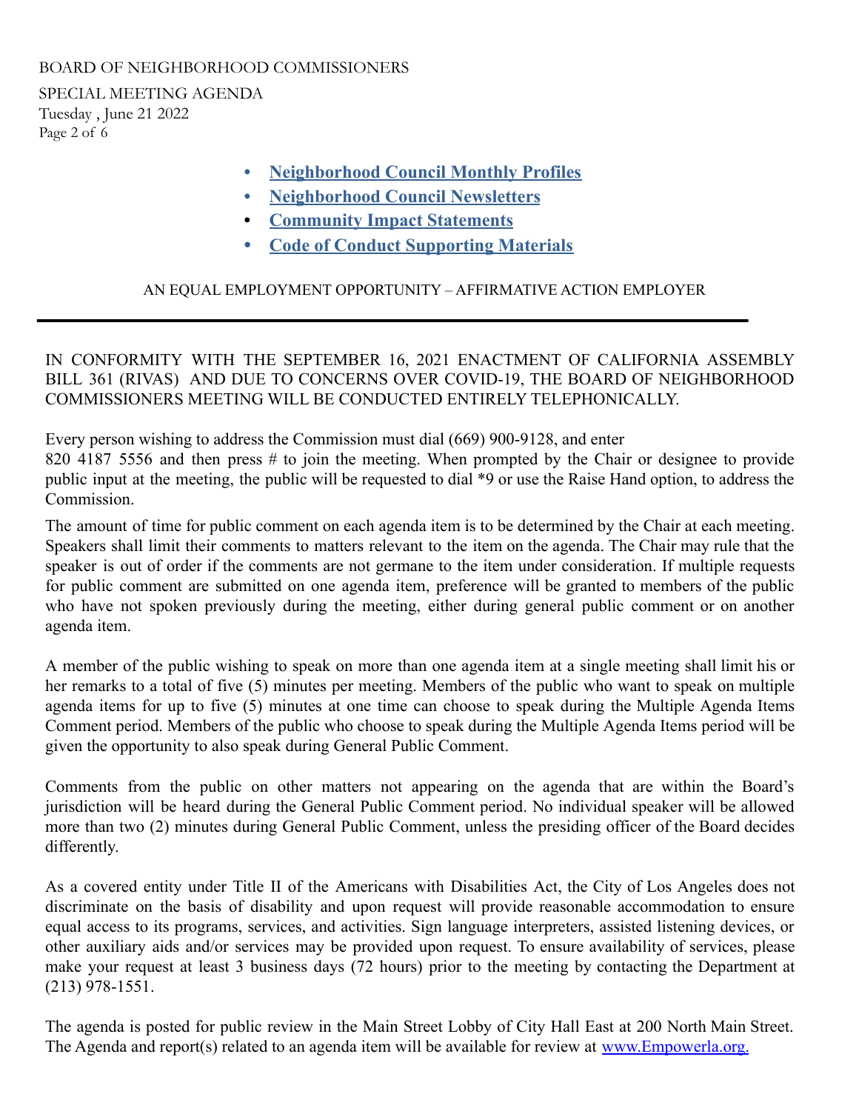SPECIAL MEETING AGENDA Tuesday , June 21 2022 Page 2 of 6

- **• [Neighborhood](https://drive.google.com/drive/folders/0B5gzygHdB99iLTlIUGNxb3BFQTQ) Council Monthly Profiles**
- **• [Neighborhood](https://docs.google.com/document/d/1umPsxBA9Um7SHQq7YlHLKkWxRx8uNpGcQsIYIIquJvk/edit) Council Newsletters**
- **• [Community](https://empowerla.org/commission/community-impact-statements/) Impact Statements**
- **• Code of Conduct [Supporting](http://tiny.cc/CodeConduct2021) Materials**

# AN EQUAL EMPLOYMENT OPPORTUNITY – AFFIRMATIVE ACTION EMPLOYER

IN CONFORMITY WITH THE SEPTEMBER 16, 2021 ENACTMENT OF CALIFORNIA ASSEMBLY BILL 361 (RIVAS) AND DUE TO CONCERNS OVER COVID-19, THE BOARD OF NEIGHBORHOOD COMMISSIONERS MEETING WILL BE CONDUCTED ENTIRELY TELEPHONICALLY.

Every person wishing to address the Commission must dial (669) 900-9128, and enter 820 4187 5556 and then press # to join the meeting. When prompted by the Chair or designee to provide public input at the meeting, the public will be requested to dial \*9 or use the Raise Hand option, to address the **Commission** 

The amount of time for public comment on each agenda item is to be determined by the Chair at each meeting. Speakers shall limit their comments to matters relevant to the item on the agenda. The Chair may rule that the speaker is out of order if the comments are not germane to the item under consideration. If multiple requests for public comment are submitted on one agenda item, preference will be granted to members of the public who have not spoken previously during the meeting, either during general public comment or on another agenda item.

A member of the public wishing to speak on more than one agenda item at a single meeting shall limit his or her remarks to a total of five (5) minutes per meeting. Members of the public who want to speak on multiple agenda items for up to five (5) minutes at one time can choose to speak during the Multiple Agenda Items Comment period. Members of the public who choose to speak during the Multiple Agenda Items period will be given the opportunity to also speak during General Public Comment.

Comments from the public on other matters not appearing on the agenda that are within the Board's jurisdiction will be heard during the General Public Comment period. No individual speaker will be allowed more than two (2) minutes during General Public Comment, unless the presiding officer of the Board decides differently.

As a covered entity under Title II of the Americans with Disabilities Act, the City of Los Angeles does not discriminate on the basis of disability and upon request will provide reasonable accommodation to ensure equal access to its programs, services, and activities. Sign language interpreters, assisted listening devices, or other auxiliary aids and/or services may be provided upon request. To ensure availability of services, please make your request at least 3 business days (72 hours) prior to the meeting by contacting the Department at (213) 978-1551.

The agenda is posted for public review in the Main Street Lobby of City Hall East at 200 North Main Street. The Agenda and report(s) related to an agenda item will be available for review at [www.Empowerla.org.](http://www.empowerla.org/)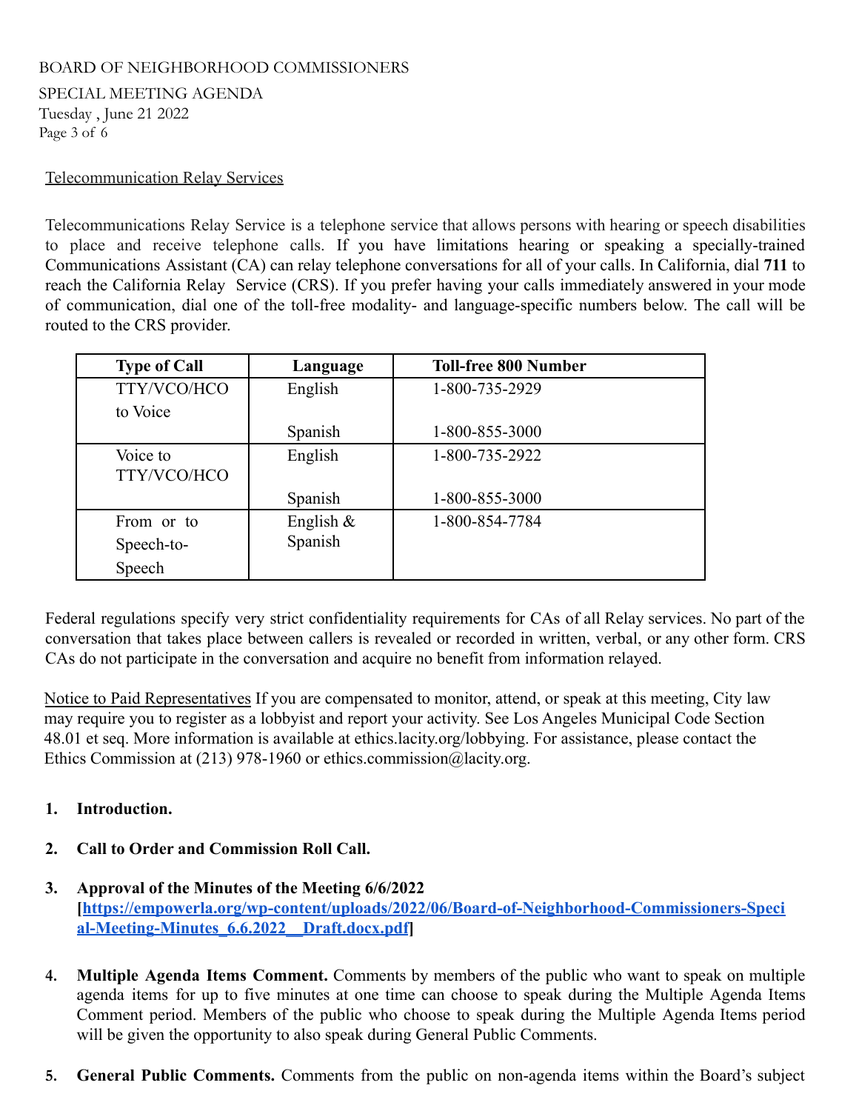SPECIAL MEETING AGENDA Tuesday , June 21 2022 Page 3 of 6

## Telecommunication Relay Services

Telecommunications Relay Service is a telephone service that allows persons with hearing or speech disabilities to place and receive telephone calls. If you have limitations hearing or speaking a specially-trained Communications Assistant (CA) can relay telephone conversations for all of your calls. In California, dial **711** to reach the California Relay Service (CRS). If you prefer having your calls immediately answered in your mode of communication, dial one of the toll-free modality- and language-specific numbers below. The call will be routed to the CRS provider.

| <b>Type of Call</b>     | Language     | <b>Toll-free 800 Number</b> |
|-------------------------|--------------|-----------------------------|
| TTY/VCO/HCO             | English      | 1-800-735-2929              |
| to Voice                |              |                             |
|                         | Spanish      | 1-800-855-3000              |
| Voice to<br>TTY/VCO/HCO | English      | 1-800-735-2922              |
|                         | Spanish      | 1-800-855-3000              |
| From or to              | English $\&$ | 1-800-854-7784              |
| Speech-to-              | Spanish      |                             |
| Speech                  |              |                             |

Federal regulations specify very strict confidentiality requirements for CAs of all Relay services. No part of the conversation that takes place between callers is revealed or recorded in written, verbal, or any other form. CRS CAs do not participate in the conversation and acquire no benefit from information relayed.

Notice to Paid Representatives If you are compensated to monitor, attend, or speak at this meeting, City law may require you to register as a lobbyist and report your activity. See Los Angeles Municipal Code Section 48.01 et seq. More information is available at [ethics.lacity.org/lobbying](http://ethics.lacity.org/lobbying). For assistance, please contact the Ethics Commission at (213) 978-1960 or [ethics.commission@lacity.org.](mailto:ethics.commission@lacity.org)

### **1. Introduction.**

- **2. Call to Order and Commission Roll Call.**
- **3. Approval of the Minutes of the Meeting 6/6/2022 [[https://empowerla.org/wp-content/uploads/2022/06/Board-of-Neighborhood-Commissioners-Speci](https://empowerla.org/wp-content/uploads/2022/06/Board-of-Neighborhood-Commissioners-Special-Meeting-Minutes_6.6.2022__Draft.docx.pdf) [al-Meeting-Minutes\\_6.6.2022\\_\\_Draft.docx.pdf](https://empowerla.org/wp-content/uploads/2022/06/Board-of-Neighborhood-Commissioners-Special-Meeting-Minutes_6.6.2022__Draft.docx.pdf)]**
- **4. Multiple Agenda Items Comment.** Comments by members of the public who want to speak on multiple agenda items for up to five minutes at one time can choose to speak during the Multiple Agenda Items Comment period. Members of the public who choose to speak during the Multiple Agenda Items period will be given the opportunity to also speak during General Public Comments.
- **5. General Public Comments.** Comments from the public on non-agenda items within the Board's subject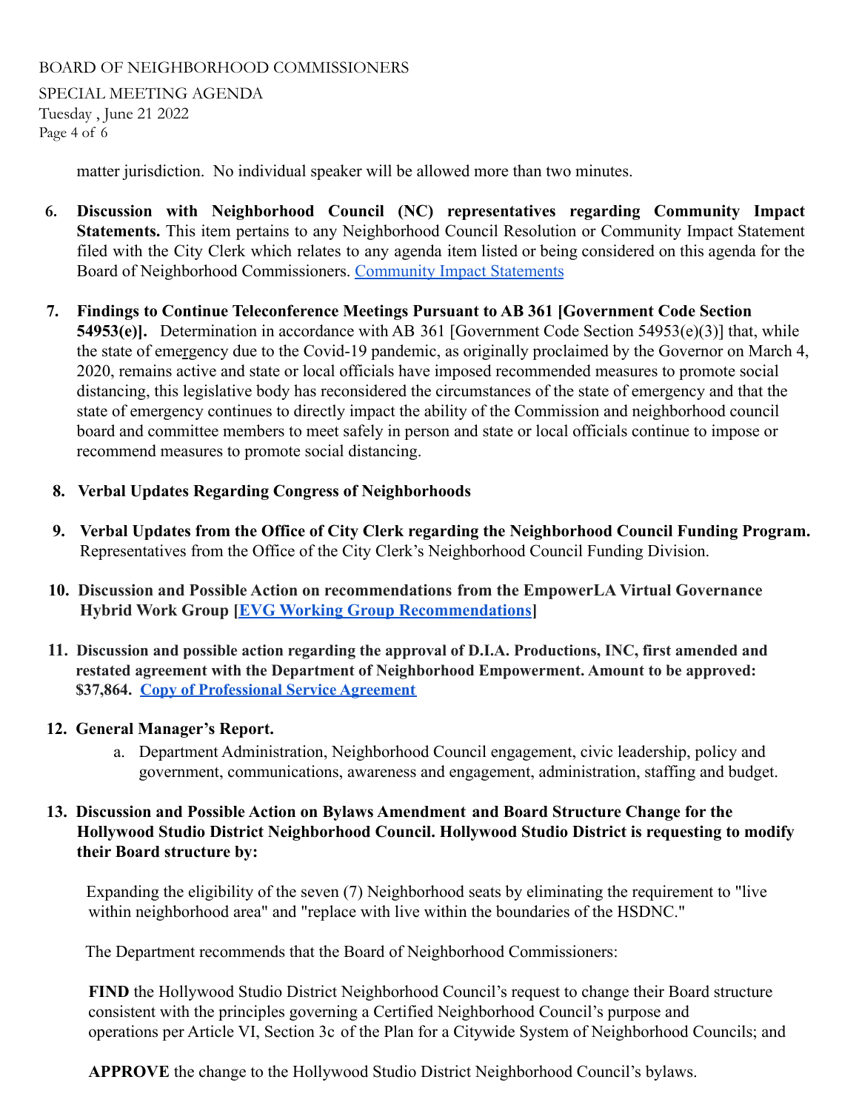SPECIAL MEETING AGENDA Tuesday , June 21 2022 Page 4 of 6

matter jurisdiction. No individual speaker will be allowed more than two minutes.

- **6. Discussion with Neighborhood Council (NC) representatives regarding Community Impact Statements.** This item pertains to any Neighborhood Council Resolution or Community Impact Statement filed with the City Clerk which relates to any agenda item listed or being considered on this agenda for the Board of Neighborhood Commissioners. [Community Impact](https://empowerla.org/commission/community-impact-statements/) Statements
- **7. Findings to Continue Teleconference Meetings Pursuant to AB 361 [Government Code Section 54953(e)].** Determination in accordance with AB 361 [Government Code Section 54953(e)(3)] that, while the state of emergency due to the Covid-19 pandemic, as originally proclaimed by the Governor on March 4, 2020, remains active and state or local officials have imposed recommended measures to promote social distancing, this legislative body has reconsidered the circumstances of the state of emergency and that the state of emergency continues to directly impact the ability of the Commission and neighborhood council board and committee members to meet safely in person and state or local officials continue to impose or recommend measures to promote social distancing.
- **8. Verbal Updates Regarding Congress of Neighborhoods**
- **9. Verbal Updates from the Office of City Clerk regarding the Neighborhood Council Funding Program.** Representatives from the Office of the City Clerk's Neighborhood Council Funding Division.
- **10. Discussion and Possible Action on recommendations from the EmpowerLA Virtual Governance Hybrid Work Group [\[EVG Working Group Recommendations](https://drive.google.com/drive/folders/1QhXzuegSgYC5O4MQ8rDHHx0zR6qzNTOR?usp=sharing)]**
- **11. Discussion and possible action regarding the approval of D.I.A. Productions, INC, first amended and restated agreement with the Department of Neighborhood Empowerment. Amount to be approved: \$37,864. Copy of [Professional](https://drive.google.com/drive/folders/1p5LNbXirFPOi1glcDIO7HdkKwTX-7moC?usp=sharing) Service Agreement**

# **12. General Manager's Report.**

a. Department Administration, Neighborhood Council engagement, civic leadership, policy and government, communications, awareness and engagement, administration, staffing and budget.

# **13. Discussion and Possible Action on Bylaws Amendment and Board Structure Change for the Hollywood Studio District Neighborhood Council. Hollywood Studio District is requesting to modify their Board structure by:**

Expanding the eligibility of the seven (7) Neighborhood seats by eliminating the requirement to "live within neighborhood area" and "replace with live within the boundaries of the HSDNC."

The Department recommends that the Board of Neighborhood Commissioners:

**FIND** the Hollywood Studio District Neighborhood Council's request to change their Board structure consistent with the principles governing a Certified Neighborhood Council's purpose and operations per Article VI, Section 3c of the Plan for a Citywide System of Neighborhood Councils; and

**APPROVE** the change to the Hollywood Studio District Neighborhood Council's bylaws.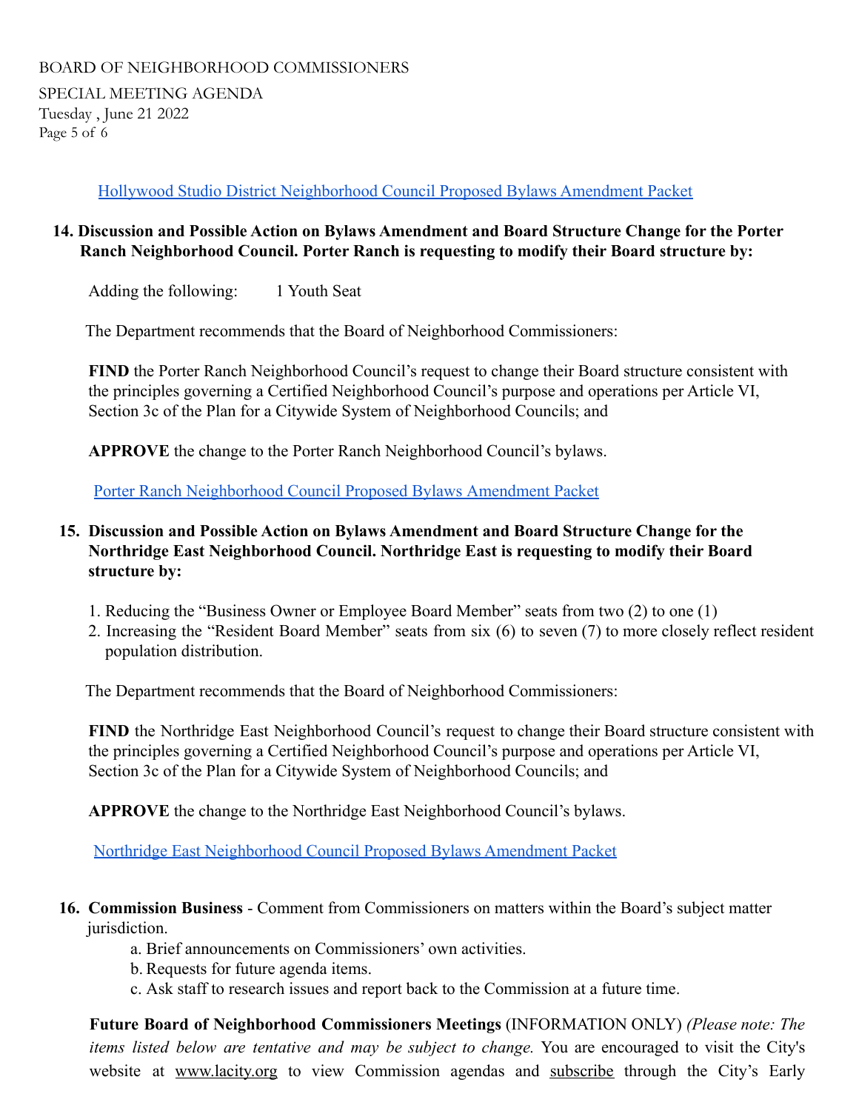SPECIAL MEETING AGENDA Tuesday , June 21 2022 Page 5 of 6

[Hollywood Studio District Neighborhood Council](https://drive.google.com/drive/folders/144fbHQUEeKZSa4yQUoSawZrQ_l724l8t?usp=sharing) Proposed Bylaws Amendment Packet

# **14. Discussion and Possible Action on Bylaws Amendment and Board Structure Change for the Porter Ranch Neighborhood Council. Porter Ranch is requesting to modify their Board structure by:**

Adding the following: 1 Youth Seat

The Department recommends that the Board of Neighborhood Commissioners:

**FIND** the Porter Ranch Neighborhood Council's request to change their Board structure consistent with the principles governing a Certified Neighborhood Council's purpose and operations per Article VI, Section 3c of the Plan for a Citywide System of Neighborhood Councils; and

**APPROVE** the change to the Porter Ranch Neighborhood Council's bylaws.

[Porter Ranch Neighborhood Council Proposed Bylaws](https://drive.google.com/drive/folders/1XRHClAzcx_QC4ygs3X3MBiYKmg2K28Q9?usp=sharing) Amendment Packet

# **15. Discussion and Possible Action on Bylaws Amendment and Board Structure Change for the Northridge East Neighborhood Council. Northridge East is requesting to modify their Board structure by:**

- 1. Reducing the "Business Owner or Employee Board Member" seats from two (2) to one (1)
- 2. Increasing the "Resident Board Member" seats from six (6) to seven (7) to more closely reflect resident population distribution.

The Department recommends that the Board of Neighborhood Commissioners:

**FIND** the Northridge East Neighborhood Council's request to change their Board structure consistent with the principles governing a Certified Neighborhood Council's purpose and operations per Article VI, Section 3c of the Plan for a Citywide System of Neighborhood Councils; and

**APPROVE** the change to the Northridge East Neighborhood Council's bylaws.

[Northridge East Neighborhood Council Proposed](https://drive.google.com/drive/folders/14BT4zSG-ZPYm-FzqnAdy7VQ2uerZWZzA?usp=sharing) Bylaws Amendment Packet

# **16. Commission Business** - Comment from Commissioners on matters within the Board's subject matter jurisdiction.

- a. Brief announcements on Commissioners' own activities.
- b. Requests for future agenda items.
- c. Ask staff to research issues and report back to the Commission at a future time.

**Future Board of Neighborhood Commissioners Meetings** (INFORMATION ONLY) *(Please note: The items listed below are tentative and may be subject to change.* You are encouraged to visit the City's website at [www.lacity.org](http://h/) to view Commission agendas and [subscrib](http://lacity.org/government/Subscriptions/CommissionCommitteeBoard/index.htm)e through the City's Early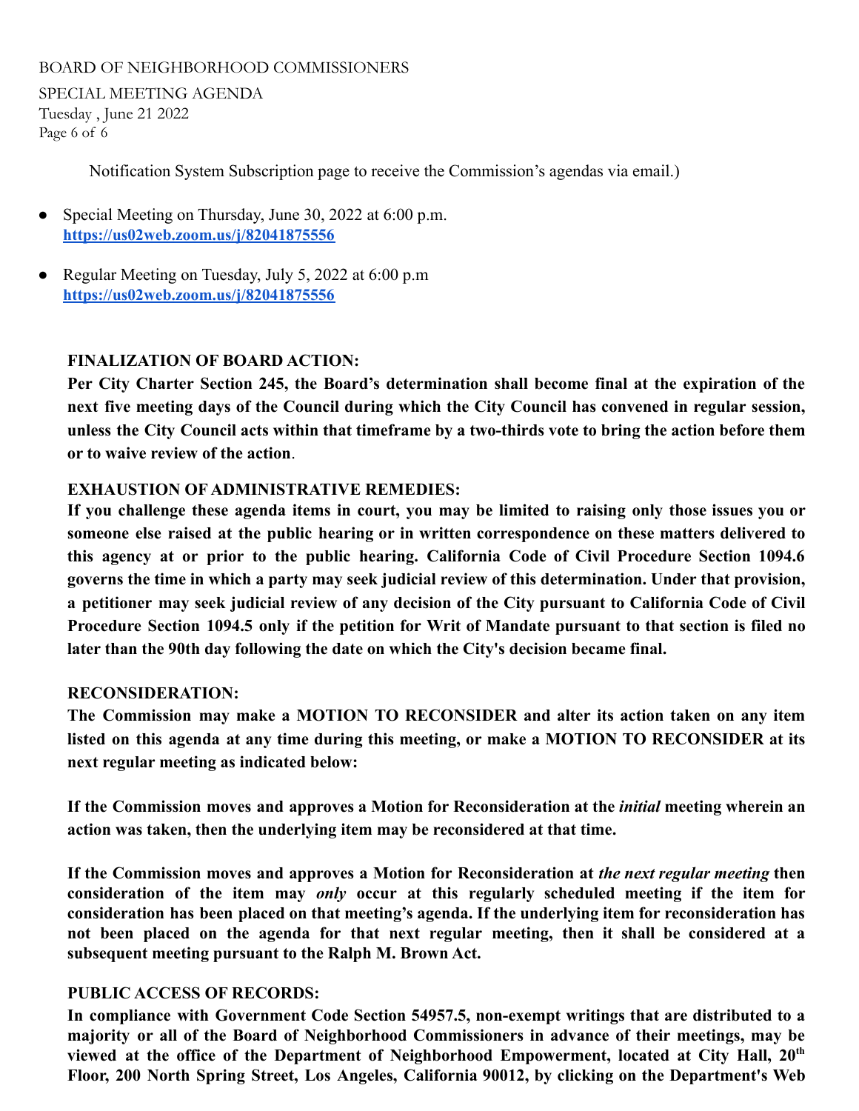SPECIAL MEETING AGENDA Tuesday , June 21 2022 Page 6 of 6

Notification System Subscription page to receive the Commission's agendas via email.)

- Special Meeting on Thursday, June 30, 2022 at 6:00 p.m. **<https://us02web.zoom.us/j/82041875556>**
- Regular Meeting on Tuesday, July 5, 2022 at 6:00 p.m **<https://us02web.zoom.us/j/82041875556>**

# **FINALIZATION OF BOARD ACTION:**

**Per City Charter Section 245, the Board's determination shall become final at the expiration of the next five meeting days of the Council during which the City Council has convened in regular session,** unless the City Council acts within that timeframe by a two-thirds vote to bring the action before them **or to waive review of the action**.

### **EXHAUSTION OF ADMINISTRATIVE REMEDIES:**

If you challenge these agenda items in court, you may be limited to raising only those issues you or **someone else raised at the public hearing or in written correspondence on these matters delivered to this agency at or prior to the public hearing. California Code of Civil Procedure Section 1094.6 governs the time in which a party may seek judicial review of this determination. Under that provision,** a petitioner may seek judicial review of any decision of the City pursuant to California Code of Civil Procedure Section 1094.5 only if the petition for Writ of Mandate pursuant to that section is filed no **later than the 90th day following the date on which the City's decision became final.**

### **RECONSIDERATION:**

**The Commission may make a MOTION TO RECONSIDER and alter its action taken on any item listed on this agenda at any time during this meeting, or make a MOTION TO RECONSIDER at its next regular meeting as indicated below:**

**If the Commission moves and approves a Motion for Reconsideration at the** *initial* **meeting wherein an action was taken, then the underlying item may be reconsidered at that time.**

**If the Commission moves and approves a Motion for Reconsideration at** *the next regular meeting* **then consideration of the item may** *only* **occur at this regularly scheduled meeting if the item for consideration has been placed on that meeting's agenda. If the underlying item for reconsideration has not been placed on the agenda for that next regular meeting, then it shall be considered at a subsequent meeting pursuant to the Ralph M. Brown Act.**

### **PUBLIC ACCESS OF RECORDS:**

**In compliance with Government Code Section 54957.5, non-exempt writings that are distributed to a majority or all of the Board of Neighborhood Commissioners in advance of their meetings, may be viewed at the office of the Department of Neighborhood Empowerment, located at City Hall, 20th Floor, 200 North Spring Street, Los Angeles, California 90012, by clicking on the Department's Web**